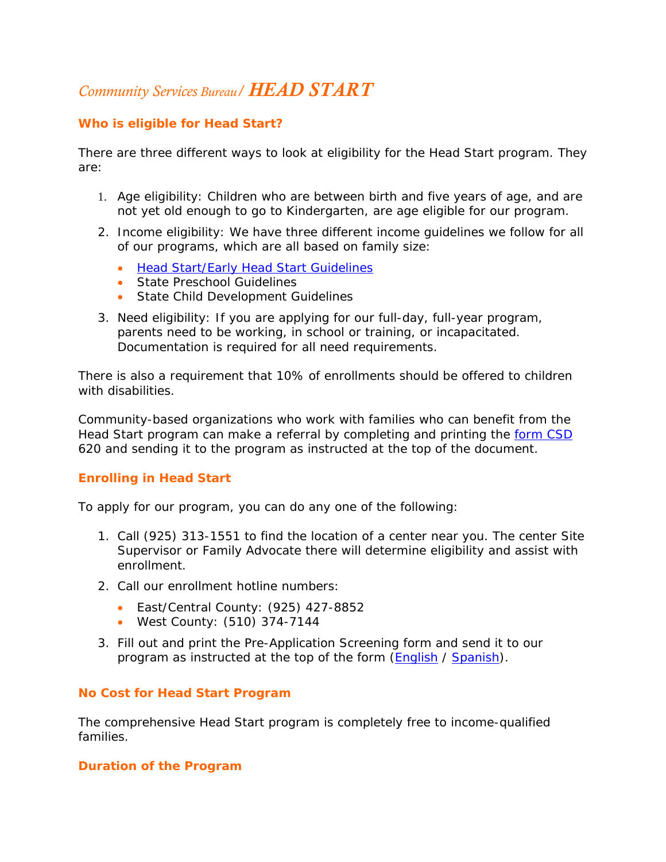# *Community Services Bureau/ HEAD START*

## **Who is eligible for Head Start?**

There are three different ways to look at eligibility for the Head Start program. They are:

- 1. Age eligibility: Children who are between birth and five years of age, and are not yet old enough to go to Kindergarten, are age eligible for our program.
- 2. Income eligibility: We have three different income guidelines we follow for all of our programs, which are all based on family size:
	- [Head Start/Early Head Start Guidelines](http://ca-contracostacounty.civicplus.com/DocumentView.aspx?DID=4451)
	- State Preschool Guidelines
	- State Child Development Guidelines
- 3. Need eligibility: If you are applying for our full-day, full-year program, parents need to be working, in school or training, or incapacitated. Documentation is required for all need requirements.

There is also a requirement that 10% of enrollments should be offered to children with disabilities.

Community-based organizations who work with families who can benefit from the Head Start program can make a referral by completing and printing the [form CSD](http://ca-contracostacounty.civicplus.com/DocumentView.aspx?DID=4452) 620 and sending it to the program as instructed at the top of the document.

## **Enrolling in Head Start**

To apply for our program, you can do any one of the following:

- 1. Call (925) 313-1551 to find the location of a center near you. The center Site Supervisor or Family Advocate there will determine eligibility and assist with enrollment.
- 2. Call our enrollment hotline numbers:
	- East/Central County: (925) 427-8852
	- West County: (510) 374-7144
- 3. Fill out and print the Pre-Application Screening form and send it to our program as instructed at the top of the form [\(English](http://ca-contracostacounty.civicplus.com/DocumentView.aspx?DID=4449) / [Spanish](http://ca-contracostacounty.civicplus.com/DocumentView.aspx?DID=4450)).

### **No Cost for Head Start Program**

The comprehensive Head Start program is completely free to income-qualified families.

### **Duration of the Program**